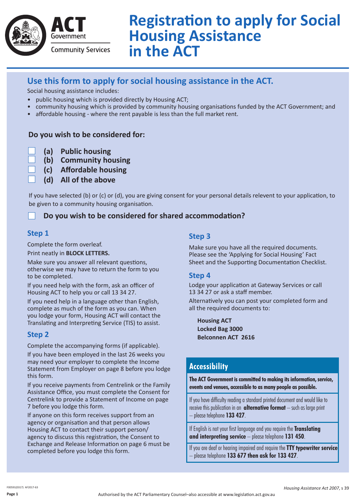

# **Registration to apply for Social Housing Assistance in the ACT**

# **Use this form to apply for social housing assistance in the ACT.**

Social housing assistance includes:

- public housing which is provided directly by Housing ACT;
- community housing which is provided by community housing organisations funded by the ACT Government; and
- affordable housing where the rent payable is less than the full market rent.

## **Do you wish to be considered for:**

- **(a) Public housing**
- **(b) Community housing**
- **(c) Affordable housing**
	- **(d) All of the above**

If you have selected (b) or (c) or (d), you are giving consent for your personal details relevent to your application, to be given to a community housing organisation.

# **Do you wish to be considered for shared accommodation?**

## **Step 1**

Complete the form overleaf.

Print neatly in **BLOCK LETTERS.** 

Make sure you answer all relevant questions, otherwise we may have to return the form to you to be completed.

If you need help with the form, ask an officer of Housing ACT to help you or call 13 34 27.

If you need help in a language other than English, complete as much of the form as you can. When you lodge your form, Housing ACT will contact the Translating and Interpreting Service (TIS) to assist.

# **Step 2**

Complete the accompanying forms (if applicable).

If you have been employed in the last 26 weeks you may need your employer to complete the Income Statement from Employer on page 8 before you lodge this form.

If you receive payments from Centrelink or the Family Assistance Office, you must complete the Consent for Centrelink to provide a Statement of Income on page 7 before you lodge this form.

If anyone on this form receives support from an agency or organisation and that person allows Housing ACT to contact their support person/ agency to discuss this registration, the Consent to Exchange and Release Information on page 6 must be completed before you lodge this form.

## **Step 3**

Make sure you have all the required documents. Please see the 'Applying for Social Housing' Fact Sheet and the Supporting Documentation Checklist.

## **Step 4**

Lodge your application at Gateway Services or call 13 34 27 or ask a staff member.

Alternatively you can post your completed form and all the required documents to:

**Housing ACT Locked Bag 3000 Belconnen ACT 2616**

# **Accessibility**

**The ACT Government is committed to making its information, service, events and venues, accessible to as many people as possible.**

If you have difficulty reading a standard printed document and would like to receive this publication in an **alternative format** – such as large print – please telephone **133 427**.

If English is not your first language and you require the **Translating and interpreting service** – please telephone **131 450**.

If you are deaf or hearing impaired and require the **TTY typewriter service** – please telephone **133 677 then ask for 133 427**.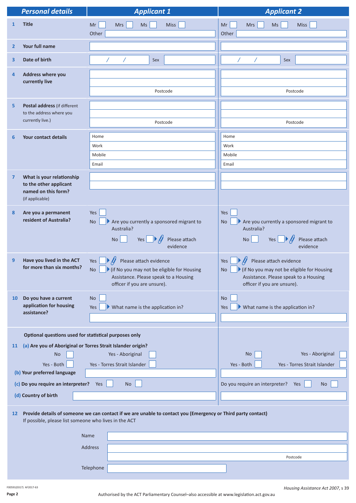| <b>Personal details</b>                                                                                         | <b>Applicant 1</b>                                                                                                                                       | <b>Applicant 2</b>                                                                                                                                                                 |  |  |
|-----------------------------------------------------------------------------------------------------------------|----------------------------------------------------------------------------------------------------------------------------------------------------------|------------------------------------------------------------------------------------------------------------------------------------------------------------------------------------|--|--|
| <b>Title</b><br>$\mathbf{1}$                                                                                    | Miss<br>Mr<br><b>Mrs</b><br>Ms<br>Other                                                                                                                  | <b>Miss</b><br>Mr<br><b>Mrs</b><br><b>Ms</b><br>Other                                                                                                                              |  |  |
| Your full name<br>$\mathbf{2}$                                                                                  |                                                                                                                                                          |                                                                                                                                                                                    |  |  |
| Date of birth<br>3                                                                                              | Sex                                                                                                                                                      | Sex                                                                                                                                                                                |  |  |
| <b>Address where you</b><br>4<br>currently live                                                                 | Postcode                                                                                                                                                 | Postcode                                                                                                                                                                           |  |  |
| Postal address (if different<br>5<br>to the address where you<br>currently live.)                               | Postcode                                                                                                                                                 | Postcode                                                                                                                                                                           |  |  |
| <b>Your contact details</b><br>6                                                                                | Home<br>Work<br>Mobile<br>Email                                                                                                                          | Home<br>Work<br>Mobile<br>Email                                                                                                                                                    |  |  |
| What is your relationship<br>$\overline{7}$<br>to the other applicant<br>named on this form?<br>(if applicable) |                                                                                                                                                          |                                                                                                                                                                                    |  |  |
| Are you a permanent<br>8<br>resident of Australia?                                                              | Yes<br>Are you currently a sponsored migrant to<br><b>No</b><br>Australia?<br>Yes $\Box \mathcal{V}$<br><b>No</b><br>Please attach<br>evidence           | Yes<br>Are you currently a sponsored migrant to<br><b>No</b><br>Australia?<br>Yes<br>$\blacktriangleright \cancel{ }$<br><b>No</b><br>Please attach<br>evidence                    |  |  |
| Have you lived in the ACT<br>9<br>for more than six months?                                                     | Please attach evidence<br>Yes<br>If No you may not be eligible for Housing<br>No<br>Assistance. Please speak to a Housing<br>officer if you are unsure). | Please attach evidence<br>Yes<br>If No you may not be eligible for Housing<br>$\operatorname{\mathsf{No}}$<br>Assistance. Please speak to a Housing<br>officer if you are unsure). |  |  |
| Do you have a current<br><b>10</b><br>application for housing<br>assistance?                                    | <b>No</b><br>What name is the application in?<br>Yes                                                                                                     | <b>No</b><br>$\blacktriangleright$ What name is the application in?<br><b>Yes</b>                                                                                                  |  |  |
| Optional questions used for statistical purposes only                                                           |                                                                                                                                                          |                                                                                                                                                                                    |  |  |
| 11<br><b>No</b><br>Yes - Both<br>(b) Your preferred language                                                    | (a) Are you of Aboriginal or Torres Strait Islander origin?<br>Yes - Aboriginal<br>Yes - Torres Strait Islander                                          | Yes - Aboriginal<br><b>No</b><br>Yes - Both<br>Yes - Torres Strait Islander                                                                                                        |  |  |
| (c) Do you require an interpreter?                                                                              | Yes<br><b>No</b>                                                                                                                                         | Do you require an interpreter?<br>Yes<br><b>No</b>                                                                                                                                 |  |  |
| (d) Country of birth                                                                                            |                                                                                                                                                          |                                                                                                                                                                                    |  |  |
| 12<br>If possible, please list someone who lives in the ACT                                                     | Provide details of someone we can contact if we are unable to contact you (Emergency or Third party contact)                                             |                                                                                                                                                                                    |  |  |
|                                                                                                                 | Name                                                                                                                                                     |                                                                                                                                                                                    |  |  |
|                                                                                                                 | Address                                                                                                                                                  |                                                                                                                                                                                    |  |  |
|                                                                                                                 |                                                                                                                                                          | Postcode                                                                                                                                                                           |  |  |
|                                                                                                                 | Telephone                                                                                                                                                |                                                                                                                                                                                    |  |  |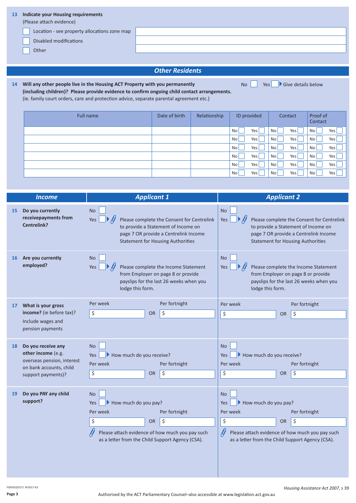| 13 | <b>Indicate your Housing requirements</b><br>(Please attach evidence) |  |
|----|-----------------------------------------------------------------------|--|
|    | Location - see property allocations zone map                          |  |
|    | <b>Disabled modifications</b>                                         |  |
|    | Other                                                                 |  |
|    |                                                                       |  |

### *Other Residents*

 $\overline{\phantom{a}}$  Yes  $\overline{\phantom{a}}$  Give details below

**14 Will any other people live in the Housing ACT Property with you permanently (including children)? Please provide evidence to confirm ongoing child contact arrangements.** (ie. family court orders, care and protection advice, separate parental agreement etc.)

Full name **Date of birth Relationship ID provided Contact Proof of Contact** Proof of Contact  $No$  Yes  $No$  Yes  $No$  Yes No Yes No Yes No Yes No Yes No Yes No Yes No Yes  $No$  Yes  $No$  Yes  $No$  Yes No Yes No Yes No Yes No Yes No Yes No Yes No Yes

|    | <b>Income</b>                                           | <b>Applicant 1</b>                                                                                                                                                                         |           |                                                                                                                                                                                            |                                              |  | <b>Applicant 2</b>                                                                                  |               |
|----|---------------------------------------------------------|--------------------------------------------------------------------------------------------------------------------------------------------------------------------------------------------|-----------|--------------------------------------------------------------------------------------------------------------------------------------------------------------------------------------------|----------------------------------------------|--|-----------------------------------------------------------------------------------------------------|---------------|
| 15 | Do you currently<br>receivepayments from<br>Centrelink? | <b>No</b><br>Please complete the Consent for Centrelink<br>Yes<br>to provide a Statement of Income on<br>page 7 OR provide a Centrelink Income<br><b>Statement for Housing Authorities</b> |           | <b>No</b><br>Please complete the Consent for Centrelink<br>Yes<br>to provide a Statement of Income on<br>page 7 OR provide a Centrelink Income<br><b>Statement for Housing Authorities</b> |                                              |  |                                                                                                     |               |
| 16 | Are you currently<br>employed?                          | <b>No</b><br>Please complete the Income Statement<br>Yes<br>from Employer on page 8 or provide<br>payslips for the last 26 weeks when you<br>lodge this form.                              |           | <b>No</b><br>Please complete the Income Statement<br>Yes<br>from Employer on page 8 or provide<br>payslips for the last 26 weeks when you<br>lodge this form.                              |                                              |  |                                                                                                     |               |
| 17 | What is your gross                                      | Per week                                                                                                                                                                                   |           | Per fortnight                                                                                                                                                                              | Per week                                     |  |                                                                                                     | Per fortnight |
|    | income? (ie before tax)?                                | \$                                                                                                                                                                                         | <b>OR</b> | \$                                                                                                                                                                                         | \$                                           |  | <b>OR</b>                                                                                           | \$            |
|    | Include wages and<br>pension payments                   |                                                                                                                                                                                            |           |                                                                                                                                                                                            |                                              |  |                                                                                                     |               |
| 18 | Do you receive any<br>other income (e.g.                | <b>No</b><br>How much do you receive?<br>Yes                                                                                                                                               |           |                                                                                                                                                                                            | <b>No</b><br>How much do you receive?<br>Yes |  |                                                                                                     |               |
|    | overseas pension, interest<br>on bank accounts, child   | Per week                                                                                                                                                                                   |           | Per fortnight                                                                                                                                                                              | Per week                                     |  |                                                                                                     | Per fortnight |
|    | support payments)?                                      | \$                                                                                                                                                                                         | <b>OR</b> | \$                                                                                                                                                                                         | \$                                           |  | <b>OR</b>                                                                                           | \$            |
|    |                                                         |                                                                                                                                                                                            |           |                                                                                                                                                                                            |                                              |  |                                                                                                     |               |
| 19 | Do you PAY any child<br>support?                        | <b>No</b>                                                                                                                                                                                  |           |                                                                                                                                                                                            | <b>No</b><br>How much do you pay?            |  |                                                                                                     |               |
|    |                                                         | How much do you pay?<br><b>Yes</b><br>Per fortnight<br>Per week                                                                                                                            |           | Yes<br>Per week                                                                                                                                                                            |                                              |  | Per fortnight                                                                                       |               |
|    |                                                         | \$                                                                                                                                                                                         | <b>OR</b> | \$                                                                                                                                                                                         | \$                                           |  | <b>OR</b>                                                                                           | \$            |
|    |                                                         | Please attach evidence of how much you pay such<br>as a letter from the Child Support Agency (CSA).                                                                                        |           |                                                                                                                                                                                            |                                              |  | Please attach evidence of how much you pay such<br>as a letter from the Child Support Agency (CSA). |               |

F00591(0317) AF2017-63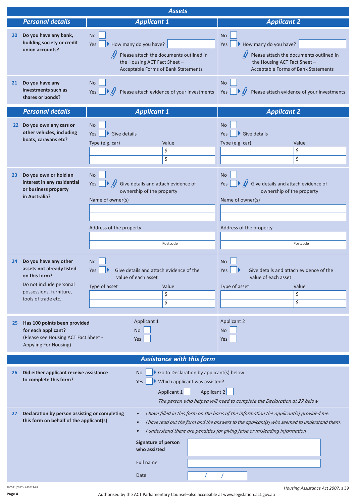|                       | <b>Assets</b>                                                                                                                                    |                                                                                                                                                                          |                                                                                                        |                                                                                                                                                                                                                                                                        |                                                                                |  |
|-----------------------|--------------------------------------------------------------------------------------------------------------------------------------------------|--------------------------------------------------------------------------------------------------------------------------------------------------------------------------|--------------------------------------------------------------------------------------------------------|------------------------------------------------------------------------------------------------------------------------------------------------------------------------------------------------------------------------------------------------------------------------|--------------------------------------------------------------------------------|--|
|                       | <b>Personal details</b>                                                                                                                          | <b>Applicant 1</b>                                                                                                                                                       |                                                                                                        | <b>Applicant 2</b>                                                                                                                                                                                                                                                     |                                                                                |  |
| 20 <sub>1</sub><br>21 | Do you have any bank,<br>building society or credit<br>union accounts?<br>Do you have any                                                        | <b>No</b><br>How many do you have?<br>Yes<br>Please attach the documents outlined in<br>the Housing ACT Fact Sheet -<br>Acceptable Forms of Bank Statements<br><b>No</b> |                                                                                                        | <b>No</b><br>How many do you have?<br>Yes<br>the Housing ACT Fact Sheet -<br><b>No</b>                                                                                                                                                                                 | Please attach the documents outlined in<br>Acceptable Forms of Bank Statements |  |
|                       | investments such as<br>shares or bonds?                                                                                                          | Yes                                                                                                                                                                      | Please attach evidence of your investments                                                             | Please attach evidence of your investments<br>Yes                                                                                                                                                                                                                      |                                                                                |  |
|                       | <b>Personal details</b>                                                                                                                          | <b>Applicant 1</b>                                                                                                                                                       |                                                                                                        | <b>Applicant 2</b>                                                                                                                                                                                                                                                     |                                                                                |  |
|                       | 22 Do you own any cars or<br>other vehicles, including<br>boats, caravans etc?                                                                   | <b>No</b><br>Give details<br><b>Yes</b><br>Type (e.g. car)                                                                                                               | Value<br>\$<br>\$                                                                                      | <b>No</b><br>$\blacktriangleright$ Give details<br>Yes<br>Type (e.g. car)                                                                                                                                                                                              | Value<br>\$<br>\$                                                              |  |
| 23 <sub>2</sub>       | Do you own or hold an<br>interest in any residential<br>or business property<br>in Australia?                                                    | <b>No</b><br>Yes<br>Name of owner(s)<br>Address of the property                                                                                                          | Give details and attach evidence of<br>ownership of the property                                       |                                                                                                                                                                                                                                                                        | Give details and attach evidence of<br>ownership of the property<br>Postcode   |  |
| 24                    | Do you have any other<br>assets not already listed<br>on this form?<br>Do not include personal<br>possessions, furniture,<br>tools of trade etc. | <b>No</b><br>Give details and attach evidence of the<br>Yes<br>value of each asset<br>Type of asset<br>Applicant 1                                                       | Value<br>\$<br>\$                                                                                      | <b>No</b><br>Give details and attach evidence of the<br>Yes<br>value of each asset<br>Type of asset<br><b>Applicant 2</b>                                                                                                                                              | Value<br>\$<br>\$                                                              |  |
| 25                    | Has 100 points been provided<br>for each applicant?<br>(Please see Housing ACT Fact Sheet -<br>Appyling For Housing)                             | <b>No</b><br><b>Yes</b>                                                                                                                                                  |                                                                                                        | <b>No</b><br>Yes                                                                                                                                                                                                                                                       |                                                                                |  |
|                       |                                                                                                                                                  |                                                                                                                                                                          | <b>Assistance with this form</b>                                                                       |                                                                                                                                                                                                                                                                        |                                                                                |  |
| 26                    | Did either applicant receive assistance<br>to complete this form?                                                                                | No.<br>Yes                                                                                                                                                               | Go to Declaration by applicant(s) below<br>Which applicant was assisted?<br>Applicant 1<br>Applicant 2 | The person who helped will need to complete the Declaration at 27 below                                                                                                                                                                                                |                                                                                |  |
| 27                    | Declaration by person assisting or completing<br>this form on behalf of the applicant(s)                                                         | $\bullet$<br>$\bullet$<br>$\bullet$<br><b>Signature of person</b><br>who assisted<br>Full name<br>Date                                                                   |                                                                                                        | I have filled in this form on the basis of the information the applicant(s) provided me.<br>I have read out the form and the answers to the applicant(s) who seemed to understand them.<br>I understand there are penalties for giving false or misleading information |                                                                                |  |

**Page 4**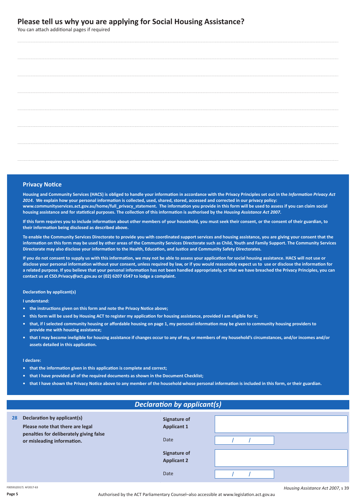### **Please tell us why you are applying for Social Housing Assistance?**

You can attach additional pages if required

#### **Privacy Notice**

Housing and Community Services (HACS) is obliged to handle your information in accordance with the Privacy Principles set out in the Information Privacy Act 2014. We explain how your personal information is collected, used, shared, stored, accessed and corrected in our privacy policy: www.communityservices.act.gov.au/home/full\_privacy\_statement. The information you provide in this form will be used to assess if you can claim social housing assistance and for statistical purposes. The collection of this information is authorised by the Housing Assistance Act 2007.

If this form requires you to include information about other members of your household, you must seek their consent, or the consent of their guardian, to **their information being disclosed as described above.**

To enable the Community Services Directorate to provide you with coordinated support services and housing assistance, you are giving your consent that the information on this form may be used by other areas of the Community Services Directorate such as Child, Youth and Family Support. The Community Services Directorate may also disclose your information to the Health, Education, and Justice and Community Safety Directorates.

If you do not consent to supply us with this information, we may not be able to assess your application for social housing assistance. HACS will not use or disclose your personal information without your consent, unless required by law, or if you would reasonably expect us to use or disclose the information for a related purpose. If you believe that your personal information has not been handled appropriately, or that we have breached the Privacy Principles, you can **contact us at CSD.Privacy@act.gov.au or (02) 6207 6547 to lodge a complaint.**

#### **Declaration by applicant(s)**

**I understand:**

- **• the instructions given on this form and note the Privacy Notice above;**
- this form will be used by Housing ACT to register my application for housing assistance, provided I am eligible for it;
- that, if I selected community housing or affordable housing on page 1, my personal information may be given to community housing providers to **provide me with housing assistance;**
- that I may become ineligible for housing assistance if changes occur to any of my, or members of my household's circumstances, and/or incomes and/or **assets detailed in this application.**

#### **I declare:**

- **• that the information given in this application is complete and correct;**
- **• that I have provided all of the required documents as shown in the Document Checklist;**
- that I have shown the Privacy Notice above to any member of the household whose personal information is included in this form, or their guardian.

| <b>Declaration by applicant(s)</b>                                    |                                           |  |  |  |
|-----------------------------------------------------------------------|-------------------------------------------|--|--|--|
| Declaration by applicant(s)<br>28<br>Please note that there are legal | Signature of<br><b>Applicant 1</b>        |  |  |  |
| penalties for deliberately giving false<br>or misleading information. | <b>Date</b>                               |  |  |  |
|                                                                       | <b>Signature of</b><br><b>Applicant 2</b> |  |  |  |
|                                                                       | <b>Date</b>                               |  |  |  |

F00591(0317) AF2017-63

**Page 5**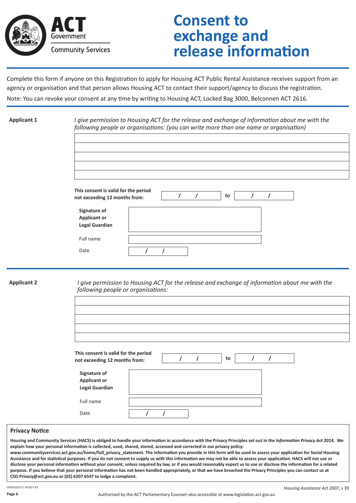

# **Consent to exchange and release information**

Complete this form if anyone on this Registration to apply for Housing ACT Public Rental Assistance receives support from an agency or organisation and that person allows Housing ACT to contact their support/agency to discuss the registration.

|  |  |  |  |  |  | Note: You can revoke your consent at any time by writing to Housing ACT, Locked Bag 3000, Belconnen ACT 2616. |  |
|--|--|--|--|--|--|---------------------------------------------------------------------------------------------------------------|--|
|--|--|--|--|--|--|---------------------------------------------------------------------------------------------------------------|--|

| <b>Applicant 1</b> | I give permission to Housing ACT for the release and exchange of information about me with the<br>following people or organisations: (you can write more than one name or organisation) |
|--------------------|-----------------------------------------------------------------------------------------------------------------------------------------------------------------------------------------|
|                    |                                                                                                                                                                                         |
|                    |                                                                                                                                                                                         |
|                    |                                                                                                                                                                                         |
|                    |                                                                                                                                                                                         |
|                    | This consent is valid for the period<br>$\prime$<br>$\prime$<br>to<br>$\prime$<br>$\prime$<br>not exceeding 12 months from:                                                             |
|                    | Signature of<br><b>Applicant or</b>                                                                                                                                                     |
|                    | <b>Legal Guardian</b>                                                                                                                                                                   |
|                    | Full name                                                                                                                                                                               |
|                    | Date<br>$\prime$<br>T                                                                                                                                                                   |
|                    |                                                                                                                                                                                         |
| <b>Applicant 2</b> | I give permission to Housing ACT for the release and exchange of information about me with the<br>following people or organisations:                                                    |
|                    |                                                                                                                                                                                         |
|                    |                                                                                                                                                                                         |
|                    |                                                                                                                                                                                         |
|                    |                                                                                                                                                                                         |
|                    | This consent is valid for the period<br>$\prime$<br>$\prime$<br>$\prime$<br>$\prime$<br>to<br>not exceeding 12 months from:                                                             |
|                    | Signature of<br><b>Applicant or</b><br><b>Legal Guardian</b>                                                                                                                            |
|                    | Full name                                                                                                                                                                               |
|                    | Date<br>$\prime$<br>$\prime$                                                                                                                                                            |

#### **Privacy Notice**

Housing and Community Services (HACS) is obliged to handle your information in accordance with the Privacy Principles set out in the Information Privacy Act 2014. We explain how your personal information is collected, used, shared, stored, accessed and corrected in our privacy policy: www.communityservices.act.gov.au/home/full\_privacy\_statement. The information you provide in this form will be used to assess your application for Social Housing Assistance and for statistical purposes. If you do not consent to supply us with this information we may not be able to assess your application. HACS will not use or disclose your personal information without your consent, unless required by law, or if you would reasonably expect us to use or disclose the information for a related purpose. If you believe that your personal information has not been handled appropriately, or that we have breached the Privacy Principles you can contact us at **CSD.Privacy@act.gov.au or (02) 6207 6547 to lodge a complaint.**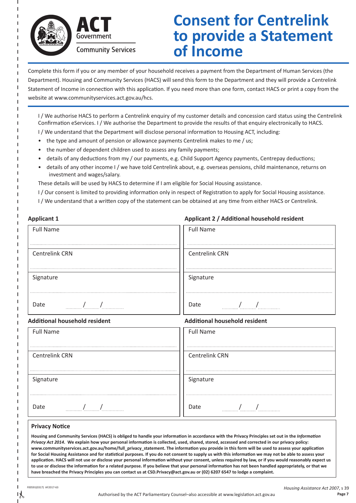



**Community Services** 

# **Consent for Centrelink to provide a Statement of Income**

Complete this form if you or any member of your household receives a payment from the Department of Human Services (the Department). Housing and Community Services (HACS) will send this form to the Department and they will provide a Centrelink Statement of Income in connection with this application. If you need more than one form, contact HACS or print a copy from the website at www.communityservices.act.gov.au/hcs.

I / We authorise HACS to perform a Centrelink enquiry of my customer details and concession card status using the Centrelink Confirmation eServices. I / We authorise the Department to provide the results of that enquiry electronically to HACS. I / We understand that the Department will disclose personal information to Housing ACT, including:

- the type and amount of pension or allowance payments Centrelink makes to me / us;
- the number of dependent children used to assess any family payments;
- details of any deductions from my / our payments, e.g. Child Support Agency payments, Centrepay deductions;
- details of any other income I / we have told Centrelink about, e.g. overseas pensions, child maintenance, returns on investment and wages/salary.

These details will be used by HACS to determine if I am eligible for Social Housing assistance.

- I / Our consent is limited to providing information only in respect of Registration to apply for Social Housing assistance.
- I / We understand that a written copy of the statement can be obtained at any time from either HACS or Centrelink.

| <b>Applicant 1</b>                                                                                                                                                                                                                                                                                                          | Applicant 2 / Additional household resident                                                                                                                                                                                                                                                                                 |
|-----------------------------------------------------------------------------------------------------------------------------------------------------------------------------------------------------------------------------------------------------------------------------------------------------------------------------|-----------------------------------------------------------------------------------------------------------------------------------------------------------------------------------------------------------------------------------------------------------------------------------------------------------------------------|
| <b>Full Name</b>                                                                                                                                                                                                                                                                                                            | <b>Full Name</b>                                                                                                                                                                                                                                                                                                            |
|                                                                                                                                                                                                                                                                                                                             |                                                                                                                                                                                                                                                                                                                             |
| <b>Centrelink CRN</b>                                                                                                                                                                                                                                                                                                       | <b>Centrelink CRN</b>                                                                                                                                                                                                                                                                                                       |
|                                                                                                                                                                                                                                                                                                                             |                                                                                                                                                                                                                                                                                                                             |
| Signature                                                                                                                                                                                                                                                                                                                   | Signature                                                                                                                                                                                                                                                                                                                   |
| Date                                                                                                                                                                                                                                                                                                                        | Date                                                                                                                                                                                                                                                                                                                        |
| $\frac{1}{2}$ $\frac{1}{2}$ $\frac{1}{2}$ $\frac{1}{2}$ $\frac{1}{2}$ $\frac{1}{2}$ $\frac{1}{2}$ $\frac{1}{2}$ $\frac{1}{2}$ $\frac{1}{2}$ $\frac{1}{2}$ $\frac{1}{2}$ $\frac{1}{2}$ $\frac{1}{2}$ $\frac{1}{2}$ $\frac{1}{2}$ $\frac{1}{2}$ $\frac{1}{2}$ $\frac{1}{2}$ $\frac{1}{2}$ $\frac{1}{2}$ $\frac{1}{2}$         | $\frac{1}{2}$                                                                                                                                                                                                                                                                                                               |
| <b>Additional household resident</b>                                                                                                                                                                                                                                                                                        | <b>Additional household resident</b>                                                                                                                                                                                                                                                                                        |
| <b>Full Name</b>                                                                                                                                                                                                                                                                                                            | <b>Full Name</b>                                                                                                                                                                                                                                                                                                            |
| <b>Centrelink CRN</b>                                                                                                                                                                                                                                                                                                       | <b>Centrelink CRN</b>                                                                                                                                                                                                                                                                                                       |
|                                                                                                                                                                                                                                                                                                                             |                                                                                                                                                                                                                                                                                                                             |
| Signature                                                                                                                                                                                                                                                                                                                   | Signature                                                                                                                                                                                                                                                                                                                   |
|                                                                                                                                                                                                                                                                                                                             |                                                                                                                                                                                                                                                                                                                             |
| $\frac{1}{2}$ $\frac{1}{2}$ $\frac{1}{2}$ $\frac{1}{2}$ $\frac{1}{2}$ $\frac{1}{2}$ $\frac{1}{2}$ $\frac{1}{2}$ $\frac{1}{2}$ $\frac{1}{2}$ $\frac{1}{2}$ $\frac{1}{2}$ $\frac{1}{2}$ $\frac{1}{2}$ $\frac{1}{2}$ $\frac{1}{2}$ $\frac{1}{2}$ $\frac{1}{2}$ $\frac{1}{2}$ $\frac{1}{2}$ $\frac{1}{2}$ $\frac{1}{2}$<br>Date | $\frac{1}{2}$ $\frac{1}{2}$ $\frac{1}{2}$ $\frac{1}{2}$ $\frac{1}{2}$ $\frac{1}{2}$ $\frac{1}{2}$ $\frac{1}{2}$ $\frac{1}{2}$ $\frac{1}{2}$ $\frac{1}{2}$ $\frac{1}{2}$ $\frac{1}{2}$ $\frac{1}{2}$ $\frac{1}{2}$ $\frac{1}{2}$ $\frac{1}{2}$ $\frac{1}{2}$ $\frac{1}{2}$ $\frac{1}{2}$ $\frac{1}{2}$ $\frac{1}{2}$<br>Date |
| <b>Privacy Notice</b>                                                                                                                                                                                                                                                                                                       |                                                                                                                                                                                                                                                                                                                             |
| Housing and Community Services (HACS) is obliged to handle your information in accordance with the Privacy Principles set out in the Information<br>Privacy Act 2014. We explain how your personal information is collected, used, shared, stored, accessed and corrected in our privacy policy:                            |                                                                                                                                                                                                                                                                                                                             |

Privacy Act 2014. We explain how your personal information is collected, used, shared, stored, accessed and corrected in our privacy policy: www.communityservices.act.gov.au/home/full\_privacy\_statement. The information you provide in this form will be used to assess your application for Social Housing Assistance and for statistical purposes. If you do not consent to supply us with this information we may not be able to assess your application. HACS will not use or disclose your personal information without your consent, unless required by law, or if you would reasonably expect us to use or disclose the information for a related purpose. If you believe that your personal information has not been handled appropriately, or that we have breached the Privacy Principles you can contact us at CSD.Privacy@act.gov.au or (02) 6207 6547 to lodge a complaint.

F00591(0317) AF2017-63

 $\mathcal{X}$